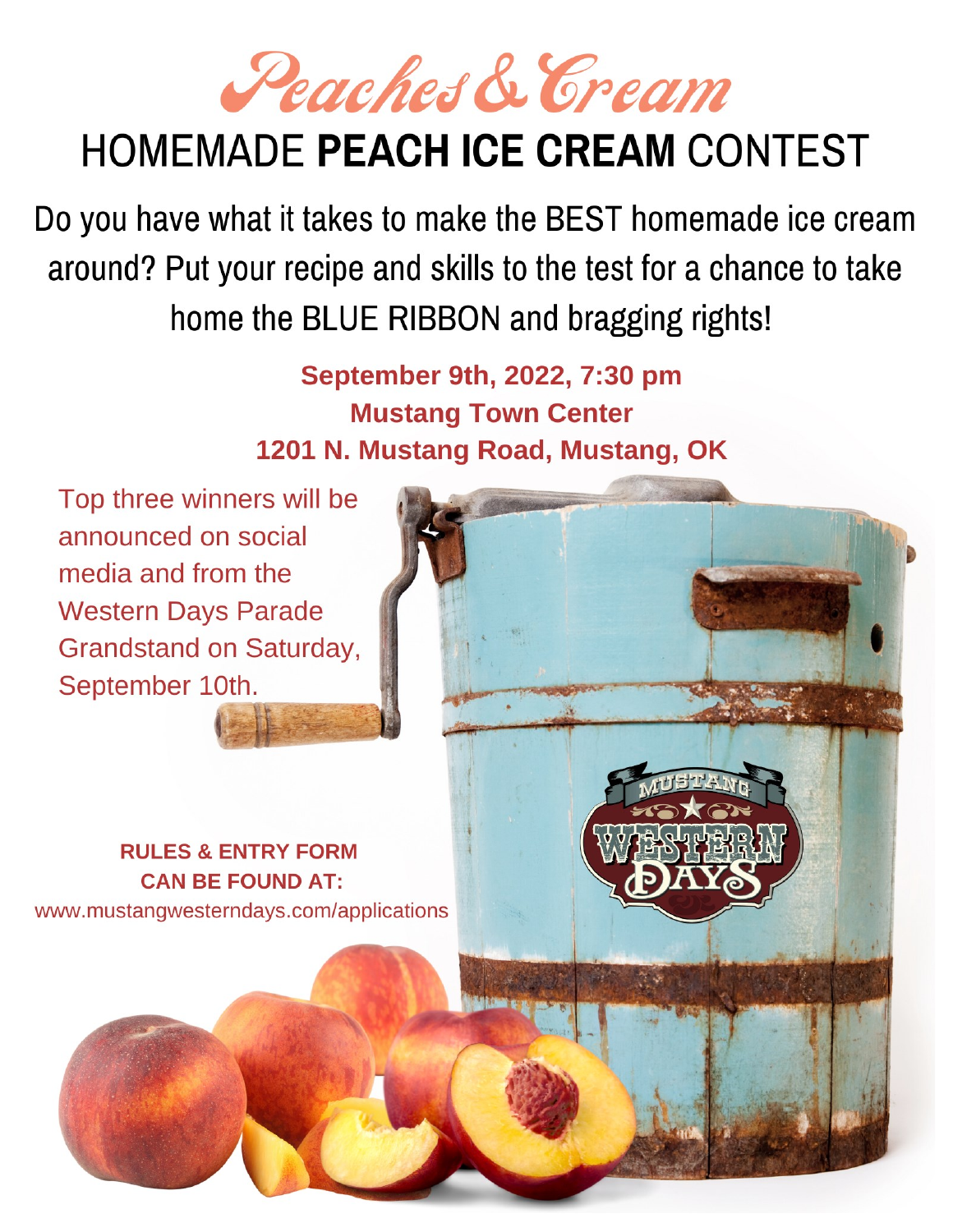Peaches & Cream

# **HOMEMADE PEACH ICE CREAM CONTEST**

Do you have what it takes to make the BEST homemade ice cream around? Put your recipe and skills to the test for a chance to take home the BLUE RIBBON and bragging rights!

> September 9th, 2022, 7:30 pm **Mustang Town Center** 1201 N. Mustang Road, Mustang, OK

Top three winners will be announced on social media and from the **Western Days Parade Grandstand on Saturday,** September 10th.

**RULES & ENTRY FORM CAN BE FOUND AT:** www.mustangwesterndays.com/applications